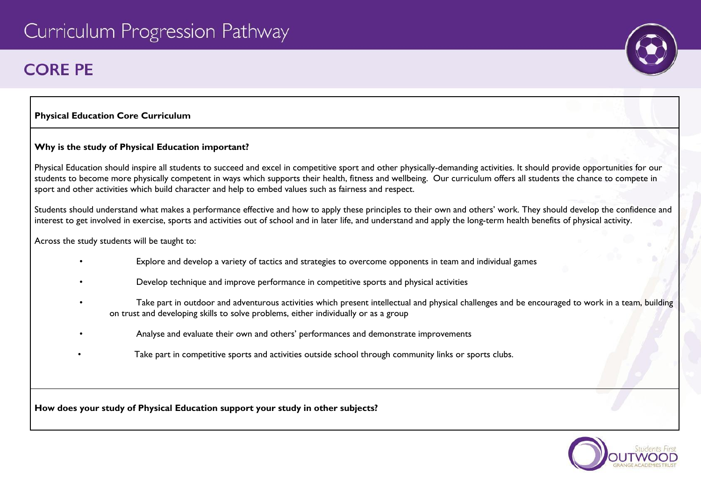# Curriculum Progression Pathway

# **CORF PF**

### **Physical Education Core Curriculum**

### **Why is the study of Physical Education important?**

Physical Education should inspire all students to succeed and excel in competitive sport and other physically-demanding activities. It should provide opportunities for our students to become more physically competent in ways which supports their health, fitness and wellbeing. Our curriculum offers all students the chance to compete in sport and other activities which build character and help to embed values such as fairness and respect.

Students should understand what makes a performance effective and how to apply these principles to their own and others' work. They should develop the confidence and interest to get involved in exercise, sports and activities out of school and in later life, and understand and apply the long-term health benefits of physical activity.

Across the study students will be taught to:

- Explore and develop a variety of tactics and strategies to overcome opponents in team and individual games
- Develop technique and improve performance in competitive sports and physical activities
- Take part in outdoor and adventurous activities which present intellectual and physical challenges and be encouraged to work in a team, building on trust and developing skills to solve problems, either individually or as a group
	- Analyse and evaluate their own and others' performances and demonstrate improvements
		- Take part in competitive sports and activities outside school through community links or sports clubs.

**How does your study of Physical Education support your study in other subjects?**

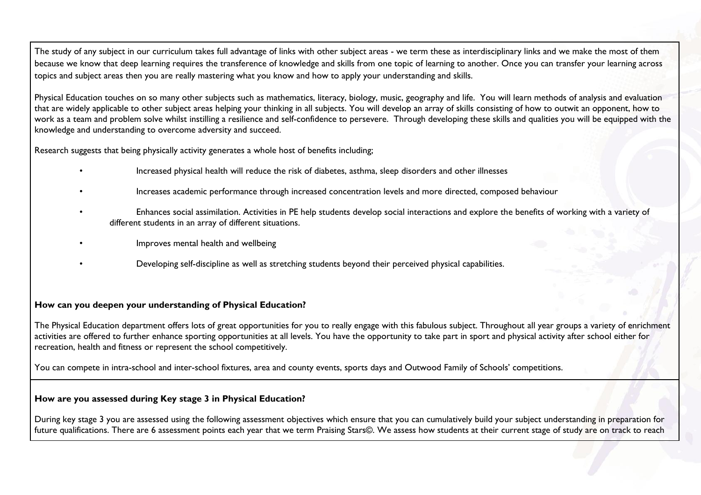The study of any subject in our curriculum takes full advantage of links with other subject areas - we term these as interdisciplinary links and we make the most of them because we know that deep learning requires the transference of knowledge and skills from one topic of learning to another. Once you can transfer your learning across topics and subject areas then you are really mastering what you know and how to apply your understanding and skills.

Physical Education touches on so many other subjects such as mathematics, literacy, biology, music, geography and life. You will learn methods of analysis and evaluation that are widely applicable to other subject areas helping your thinking in all subjects. You will develop an array of skills consisting of how to outwit an opponent, how to work as a team and problem solve whilst instilling a resilience and self-confidence to persevere. Through developing these skills and qualities you will be equipped with the knowledge and understanding to overcome adversity and succeed.

Research suggests that being physically activity generates a whole host of benefits including;

- Increased physical health will reduce the risk of diabetes, asthma, sleep disorders and other illnesses
- Increases academic performance through increased concentration levels and more directed, composed behaviour
- Enhances social assimilation. Activities in PE help students develop social interactions and explore the benefits of working with a variety of different students in an array of different situations.
- Improves mental health and wellbeing
- Developing self-discipline as well as stretching students beyond their perceived physical capabilities.

#### **How can you deepen your understanding of Physical Education?**

The Physical Education department offers lots of great opportunities for you to really engage with this fabulous subject. Throughout all year groups a variety of enrichment activities are offered to further enhance sporting opportunities at all levels. You have the opportunity to take part in sport and physical activity after school either for recreation, health and fitness or represent the school competitively.

You can compete in intra-school and inter-school fixtures, area and county events, sports days and Outwood Family of Schools' competitions.

#### **How are you assessed during Key stage 3 in Physical Education?**

During key stage 3 you are assessed using the following assessment objectives which ensure that you can cumulatively build your subject understanding in preparation for future qualifications. There are 6 assessment points each year that we term Praising Stars©. We assess how students at their current stage of study are on track to reach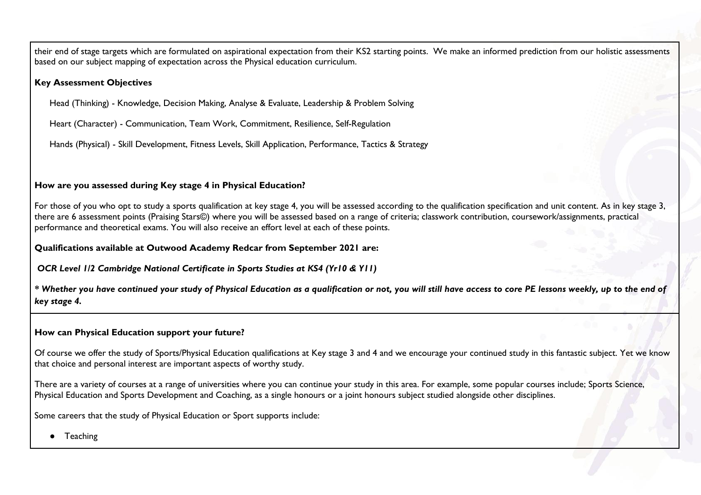their end of stage targets which are formulated on aspirational expectation from their KS2 starting points. We make an informed prediction from our holistic assessments based on our subject mapping of expectation across the Physical education curriculum.

#### **Key Assessment Objectives**

Head (Thinking) - Knowledge, Decision Making, Analyse & Evaluate, Leadership & Problem Solving

Heart (Character) - Communication, Team Work, Commitment, Resilience, Self-Regulation

Hands (Physical) - Skill Development, Fitness Levels, Skill Application, Performance, Tactics & Strategy

#### **How are you assessed during Key stage 4 in Physical Education?**

For those of you who opt to study a sports qualification at key stage 4, you will be assessed according to the qualification specification and unit content. As in key stage 3, there are 6 assessment points (Praising Stars©) where you will be assessed based on a range of criteria; classwork contribution, coursework/assignments, practical performance and theoretical exams. You will also receive an effort level at each of these points.

**Qualifications available at Outwood Academy Redcar from September 2021 are:**

*OCR Level 1/2 Cambridge National Certificate in Sports Studies at KS4 (Yr10 & Y11)*

*\* Whether you have continued your study of Physical Education as a qualification or not, you will still have access to core PE lessons weekly, up to the end of key stage 4.*

#### **How can Physical Education support your future?**

Of course we offer the study of Sports/Physical Education qualifications at Key stage 3 and 4 and we encourage your continued study in this fantastic subject. Yet we know that choice and personal interest are important aspects of worthy study.

There are a variety of courses at a range of universities where you can continue your study in this area. For example, some popular courses include; Sports Science, Physical Education and Sports Development and Coaching, as a single honours or a joint honours subject studied alongside other disciplines.

Some careers that the study of Physical Education or Sport supports include:

● Teaching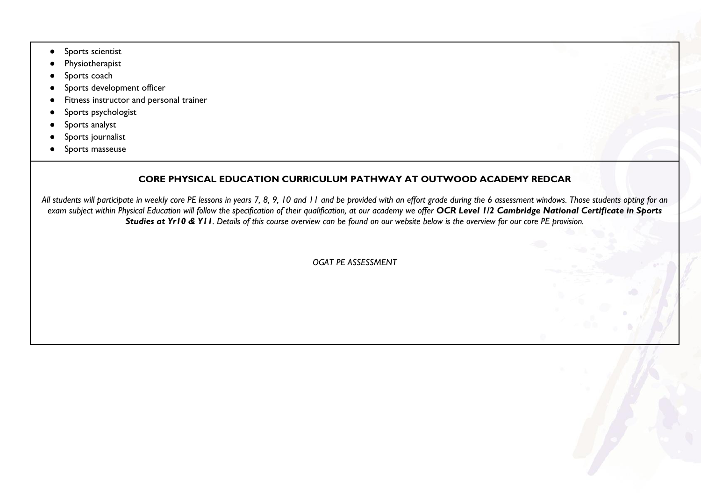- Sports scientist
- Physiotherapist
- Sports coach
- Sports development officer
- Fitness instructor and personal trainer
- Sports psychologist
- Sports analyst
- Sports journalist
- Sports masseuse

## **CORE PHYSICAL EDUCATION CURRICULUM PATHWAY AT OUTWOOD ACADEMY REDCAR**

*All students will participate in weekly core PE lessons in years 7, 8, 9, 10 and 11 and be provided with an effort grade during the 6 assessment windows. Those students opting for an exam subject within Physical Education will follow the specification of their qualification, at our academy we offer OCR Level 1/2 Cambridge National Certificate in Sports Studies at Yr10 & Y11. Details of this course overview can be found on our website below is the overview for our core PE provision.*

*OGAT PE ASSESSMENT*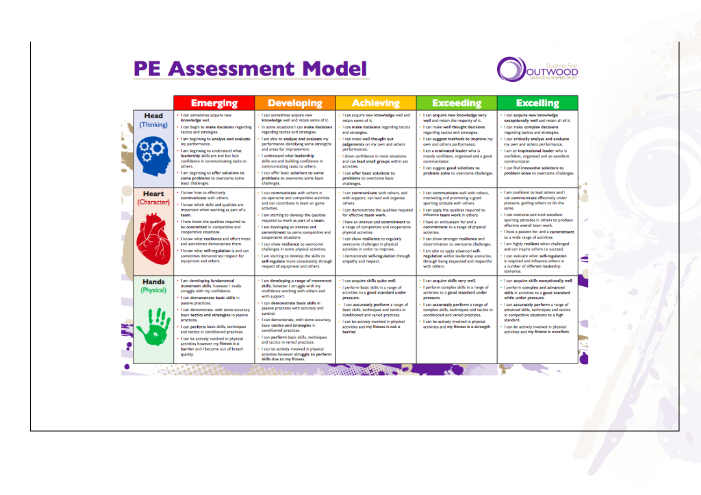# **PE Assessment Model**



|                             | <b>Emerging</b>                                                                                                                                                                                                                                                                                                                                                                                                                                                                             | <b>Developing</b>                                                                                                                                                                                                                                                                                                                                                                                                                                                                                                                      | <b>Achieving</b>                                                                                                                                                                                                                                                                                                                                                                                                                                    | <b>Exceeding</b>                                                                                                                                                                                                                                                                                                                                                                                                                                                                                     | <b>Excelling</b>                                                                                                                                                                                                                                                                                                                                                                                                                                                                                                                                |
|-----------------------------|---------------------------------------------------------------------------------------------------------------------------------------------------------------------------------------------------------------------------------------------------------------------------------------------------------------------------------------------------------------------------------------------------------------------------------------------------------------------------------------------|----------------------------------------------------------------------------------------------------------------------------------------------------------------------------------------------------------------------------------------------------------------------------------------------------------------------------------------------------------------------------------------------------------------------------------------------------------------------------------------------------------------------------------------|-----------------------------------------------------------------------------------------------------------------------------------------------------------------------------------------------------------------------------------------------------------------------------------------------------------------------------------------------------------------------------------------------------------------------------------------------------|------------------------------------------------------------------------------------------------------------------------------------------------------------------------------------------------------------------------------------------------------------------------------------------------------------------------------------------------------------------------------------------------------------------------------------------------------------------------------------------------------|-------------------------------------------------------------------------------------------------------------------------------------------------------------------------------------------------------------------------------------------------------------------------------------------------------------------------------------------------------------------------------------------------------------------------------------------------------------------------------------------------------------------------------------------------|
| <b>Head</b><br>(Thinking)   | . I can sometimes acquire new<br>knowledge well.<br>. I can begin to make decisions regarding<br>tactics and strategies.<br>. I am beginning to analyse and evaluate<br>my performance.<br>I am beginning to understand what<br>leadership skills are and but lack<br>confidence in communicating tasks to<br>others.<br>I am beginning to offer solutions to<br>some problems to overcome some<br>basic challenges.                                                                        | · I can sometimes acquire new<br>knowledge well and retain some of it.<br>In some situations I can make decisions<br>regarding tactics and strategies.<br>I am able to analyse and evaluate my<br>performance identifying some strengths<br>and areas for improvement.<br>. Lunderstand what leadership<br>skills are and building confidence in<br>communicating tasks to others.<br>· I can offer basic solutions to some<br>problems to overcome some basic<br>challenges.                                                          | . I can acquire new knowledge well and<br>retain some of it.<br>I can make decisions regarding tactics<br>and strategies.<br>I can make well thought out<br>judgements on my own and others<br>performances.<br>I show confidence in most situations<br>and can lead small groups within set<br>activities.<br>I can offer basic solutions to<br>problems to overcome basic<br>challenges.                                                          | · I can acquire new knowledge very<br>well and retain the majority of it.<br>I can make well thought decisions<br>regarding tactics and strategies.<br>I can suggest methods to improve my<br>own and others performance.<br>· I am a motivated leader who is<br>mostly confident, organised and a good<br>communicator.<br>I can suggest good solutions to<br>problem solve to overcome challenges.                                                                                                 | · I can acquire new knowledge<br>exceptionally well and retain all of it.<br>· I can make complex decisions<br>regarding tactics and strategies.<br>. I can critically analyse and evaluate<br>my own and others performance.<br>. I am an inspirational leader who is<br>confident, organised and an excellent<br>communicator.<br>· I can find innovative solutions to<br>problem solve to overcome challenges.                                                                                                                               |
| <b>Heart</b><br>(Character) | . I know how to effectively<br>communicate with others.<br>I know which skills and qualities are<br>important when working as part of a<br>team.<br>I have know the qualities required to<br>be committed in competitive and<br>cooperative situations.<br>I know what resilience and effort mean<br>and sometimes demonstrate them.<br>I know what self-regulation is and can<br>sometimes demonstrate respect for<br>equipment and others.                                                | I can communicate with others in<br>co-operative and competitive activities<br>and can contribute in team or game<br>activities.<br>. I am starting to develop the qualities<br>required to work as part of a team.<br>. I am developing an interest and<br>commitment to some competitive and<br>cooperative situations.<br>· I can show resilience to overcome<br>challenges in some physical activities.<br>I am starting to develop the skills to<br>self-regulate more consistently through<br>respect of equipment and others.   | I can communicate with others, and<br>with support, can lead and organise<br>others.<br>I can demonstrate the qualities required<br>for effective team work.<br>I have an interest and commitment to<br>a range of competitive and cooperative<br>physical activities.<br>I can show resilience to regularly<br>overcome challenges in physical<br>activities in order to improve.<br>I demonstrate self-regulation through<br>empathy and respect. | I can communicate well with others.<br>motivating and promoting a good<br>sporting attitude with others.<br>I can apply the qualities required to<br>influence team work in others.<br>I have an enthusiasm for and a<br>commitment to a range of physical<br>activities.<br>. I can show stronger resilience and<br>determination to overcome challenges.<br>I am able to apply advanced self-<br>regulation within leadership scenarios,<br>through being respected and respectful<br>with others. | . I am confident to lead others and I<br>can communicate effectively under-<br>pressure, guiding others to do the<br>came.<br>. I can motivate and instil excellent<br>sporting attitudes in others to produce<br>effective overall team work.<br>- I have a passion for, and a commitment<br>to a wide range of activities.<br>. I am highly resilient when challenged<br>and can inspire others to succeed.<br>· I can evaluate when self-regulation<br>is required and influence others in<br>a number of different leadership<br>scenarios. |
| <b>Hands</b><br>(Physical)  | · I am developing fundamental<br>movement skills, however I really<br>struggle with my confidence.<br>· I can demonstrate basic skills in<br>passive practices.<br>· I can demonstrate, with some accuracy.<br>basic tactics and strategies in passive<br>practices.<br>I can perform basic skills, techniques<br>and tactics in conditioned practices.<br>. I can be actively involved in physical<br>activities however my fitness is a<br>barrier and I become out of breath<br>quickly. | - I am developing a range of movement<br>skills, however I struggle with my<br>confidence working with others and<br>with support.<br>· I can demonstrate basic skills in<br>passive practices with accuracy and<br>control.<br>I can demonstrate, with some accuracy,<br>basic tactics and strategies in<br>conditioned practices.<br>· I can perform basic skills, techniques<br>and tactics in varied practices.<br>. I can be actively involved in physical<br>activities however struggle to perform<br>skills due to my fitness. | · I can acquire skills quite well.<br>. I perform basic skills in a range of<br>activities to a good standard under<br>pressure.<br>I can accurately perform a range of<br>basic skills, techniques and tactics in<br>conditioned and varied practices.<br>I can be actively involved in physical<br>activities and my fitness is not a<br>barrier.                                                                                                 | · I can acquire skills very well.<br>· I perform complex skills in a range of<br>activities to a good standard under<br>pressure.<br>I can accurately perform a range of<br>complex skills, techniques and tactics in<br>conditioned and varied practices.<br>I can be actively involved in physical<br>activities and my fitness is a strength.                                                                                                                                                     | · I can acquire skills exceptionally well.<br>· I perform complex and advanced<br>skills in activities to a good standard<br>while under pressure.<br>· I can accurately perform a range of<br>advanced skills, techniques and tactics<br>in competitive situations to a high<br>standard.<br>. I can be actively involved in physical<br>activities and my fitness is excellent.                                                                                                                                                               |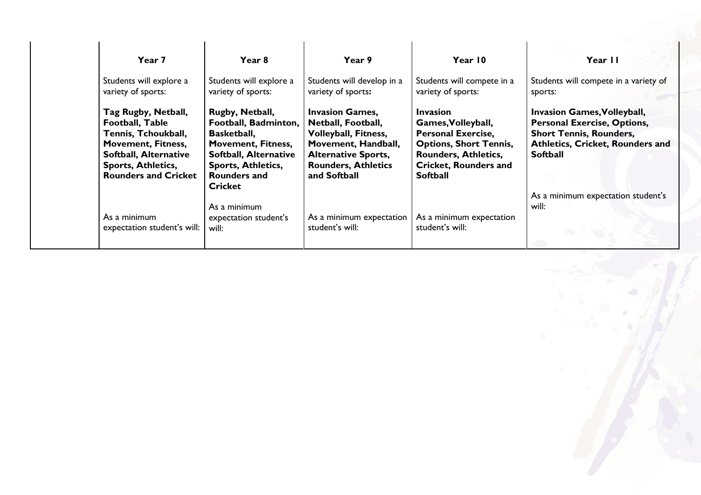| Year 7                                                                                                                                                                                 | Year 8                                                                                                                                                                         | Year 9                                                                                                                                                                         | Year 10                                                                                                                                                                               | Year II                                                                                                                                                                  |
|----------------------------------------------------------------------------------------------------------------------------------------------------------------------------------------|--------------------------------------------------------------------------------------------------------------------------------------------------------------------------------|--------------------------------------------------------------------------------------------------------------------------------------------------------------------------------|---------------------------------------------------------------------------------------------------------------------------------------------------------------------------------------|--------------------------------------------------------------------------------------------------------------------------------------------------------------------------|
| Students will explore a<br>variety of sports:                                                                                                                                          | Students will explore a<br>variety of sports:                                                                                                                                  | Students will develop in a<br>variety of sports:                                                                                                                               | Students will compete in a<br>variety of sports:                                                                                                                                      | Students will compete in a variety of<br>sports:                                                                                                                         |
| Tag Rugby, Netball,<br>Football, Table<br>Tennis, Tchoukball,<br><b>Movement, Fitness,</b><br><b>Softball, Alternative</b><br><b>Sports, Athletics,</b><br><b>Rounders and Cricket</b> | Rugby, Netball,<br>Football, Badminton,<br><b>Basketball,</b><br><b>Movement, Fitness,</b><br><b>Softball, Alternative</b><br><b>Sports, Athletics,</b><br><b>Rounders and</b> | <b>Invasion Games,</b><br>Netball, Football,<br><b>Volleyball, Fitness,</b><br>Movement, Handball,<br><b>Alternative Sports,</b><br><b>Rounders, Athletics</b><br>and Softball | <b>Invasion</b><br>Games, Volleyball,<br><b>Personal Exercise,</b><br><b>Options, Short Tennis,</b><br><b>Rounders, Athletics,</b><br><b>Cricket, Rounders and</b><br><b>Softball</b> | <b>Invasion Games, Volleyball,</b><br><b>Personal Exercise, Options,</b><br><b>Short Tennis, Rounders,</b><br><b>Athletics, Cricket, Rounders and</b><br><b>Softball</b> |
| As a minimum<br>expectation student's will:                                                                                                                                            | <b>Cricket</b><br>As a minimum<br>expectation student's<br>will:                                                                                                               | As a minimum expectation<br>student's will:                                                                                                                                    | As a minimum expectation<br>student's will:                                                                                                                                           | As a minimum expectation student's<br>will:                                                                                                                              |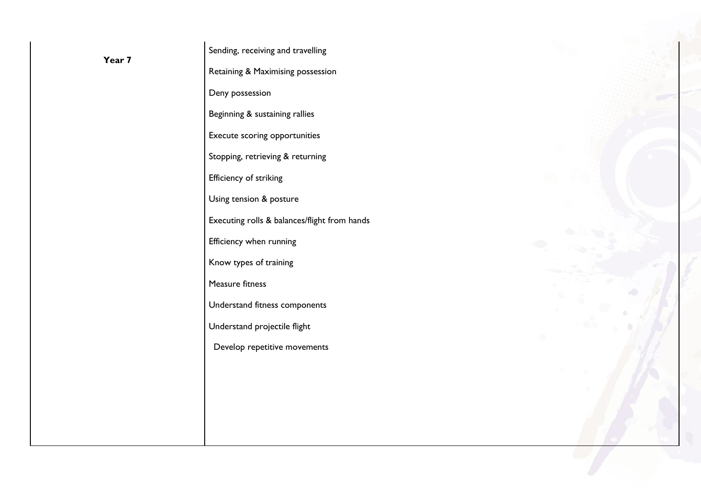| Year 7 | Sending, receiving and travelling            |  |  |
|--------|----------------------------------------------|--|--|
|        | Retaining & Maximising possession            |  |  |
|        | Deny possession                              |  |  |
|        | Beginning & sustaining rallies               |  |  |
|        | Execute scoring opportunities                |  |  |
|        | Stopping, retrieving & returning             |  |  |
|        | Efficiency of striking                       |  |  |
|        | Using tension & posture                      |  |  |
|        | Executing rolls & balances/flight from hands |  |  |
|        | Efficiency when running                      |  |  |
|        | Know types of training                       |  |  |
|        | Measure fitness                              |  |  |
|        | Understand fitness components                |  |  |
|        | Understand projectile flight                 |  |  |
|        | Develop repetitive movements                 |  |  |
|        |                                              |  |  |
|        |                                              |  |  |
|        |                                              |  |  |
|        |                                              |  |  |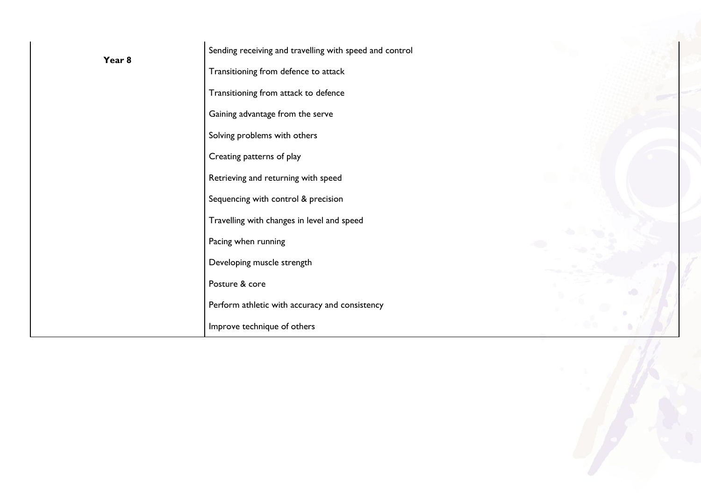|        | Sending receiving and travelling with speed and control |  |
|--------|---------------------------------------------------------|--|
| Year 8 | Transitioning from defence to attack                    |  |
|        | Transitioning from attack to defence                    |  |
|        | Gaining advantage from the serve                        |  |
|        | Solving problems with others                            |  |
|        | Creating patterns of play                               |  |
|        | Retrieving and returning with speed                     |  |
|        | Sequencing with control & precision                     |  |
|        | Travelling with changes in level and speed              |  |
|        | Pacing when running                                     |  |
|        | Developing muscle strength                              |  |
|        | Posture & core                                          |  |
|        | Perform athletic with accuracy and consistency          |  |
|        | Improve technique of others                             |  |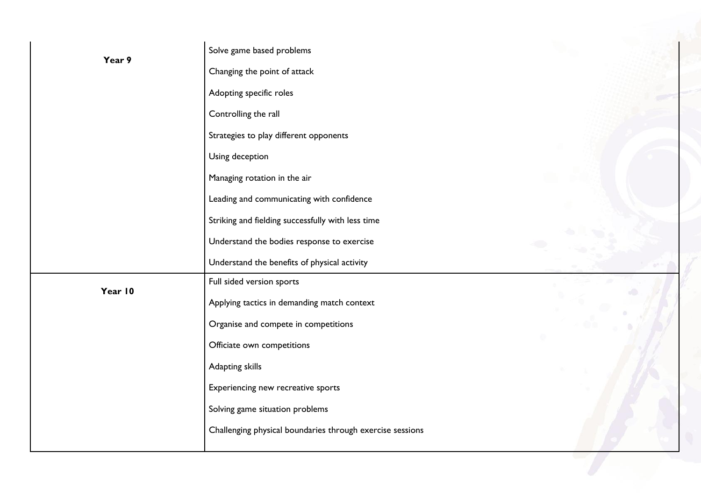| Year 9  | Solve game based problems                                 |  |
|---------|-----------------------------------------------------------|--|
|         | Changing the point of attack                              |  |
|         | Adopting specific roles                                   |  |
|         | Controlling the rall                                      |  |
|         | Strategies to play different opponents                    |  |
|         | Using deception                                           |  |
|         | Managing rotation in the air                              |  |
|         | Leading and communicating with confidence                 |  |
|         | Striking and fielding successfully with less time         |  |
|         | Understand the bodies response to exercise                |  |
|         | Understand the benefits of physical activity              |  |
| Year 10 | Full sided version sports                                 |  |
|         | Applying tactics in demanding match context               |  |
|         | Organise and compete in competitions                      |  |
|         | Officiate own competitions                                |  |
|         | Adapting skills                                           |  |
|         | Experiencing new recreative sports                        |  |
|         | Solving game situation problems                           |  |
|         | Challenging physical boundaries through exercise sessions |  |
|         |                                                           |  |